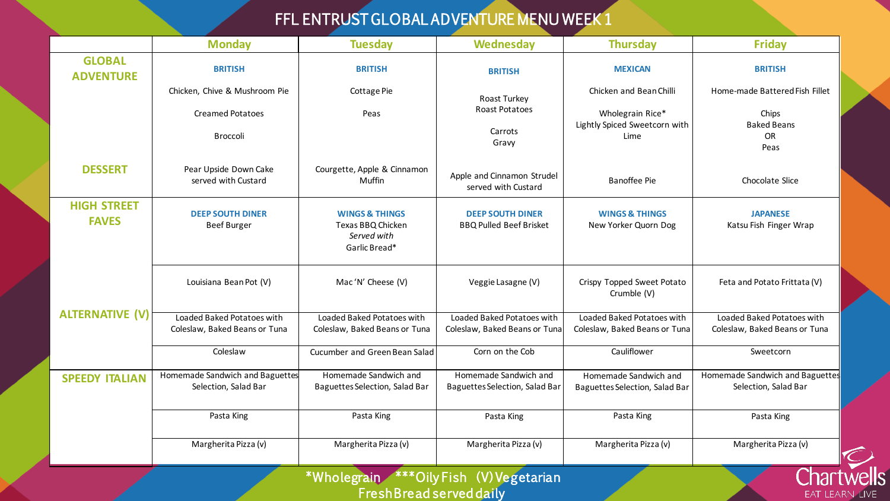## FFL ENTRUST GLOBAL ADVENTURE MENU WEEK 1

|                                                                                                      | <b>Monday</b>                                               | <b>Tuesday</b>                                                                 | Wednesday                                                   | <b>Thursday</b>                                             | <b>Friday</b>                                               |  |  |
|------------------------------------------------------------------------------------------------------|-------------------------------------------------------------|--------------------------------------------------------------------------------|-------------------------------------------------------------|-------------------------------------------------------------|-------------------------------------------------------------|--|--|
| <b>GLOBAL</b><br><b>ADVENTURE</b>                                                                    | <b>BRITISH</b>                                              | <b>BRITISH</b>                                                                 | <b>BRITISH</b>                                              | <b>MEXICAN</b>                                              | <b>BRITISH</b>                                              |  |  |
|                                                                                                      | Chicken, Chive & Mushroom Pie                               | Cottage Pie                                                                    | Roast Turkey                                                | Chicken and Bean Chilli                                     | Home-made Battered Fish Fillet                              |  |  |
|                                                                                                      | <b>Creamed Potatoes</b><br>Broccoli                         | Peas                                                                           | <b>Roast Potatoes</b><br>Carrots<br>Gravy                   | Wholegrain Rice*<br>Lightly Spiced Sweetcorn with<br>Lime   | Chips<br><b>Baked Beans</b><br>OR<br>Peas                   |  |  |
| <b>DESSERT</b>                                                                                       | Pear Upside Down Cake<br>served with Custard                | Courgette, Apple & Cinnamon<br>Muffin                                          | Apple and Cinnamon Strudel<br>served with Custard           | <b>Banoffee Pie</b>                                         | Chocolate Slice                                             |  |  |
| <b>HIGH STREET</b><br><b>FAVES</b>                                                                   | <b>DEEP SOUTH DINER</b><br><b>Beef Burger</b>               | <b>WINGS &amp; THINGS</b><br>Texas BBQ Chicken<br>Served with<br>Garlic Bread* | <b>DEEP SOUTH DINER</b><br><b>BBQ Pulled Beef Brisket</b>   | <b>WINGS &amp; THINGS</b><br>New Yorker Quorn Dog           | <b>JAPANESE</b><br>Katsu Fish Finger Wrap                   |  |  |
| <b>ALTERNATIVE (V)</b>                                                                               | Louisiana Bean Pot (V)                                      | Mac'N' Cheese (V)                                                              | Veggie Lasagne (V)                                          | Crispy Topped Sweet Potato<br>Crumble (V)                   | Feta and Potato Frittata (V)                                |  |  |
|                                                                                                      | Loaded Baked Potatoes with<br>Coleslaw, Baked Beans or Tuna | Loaded Baked Potatoes with<br>Coleslaw, Baked Beans or Tuna                    | Loaded Baked Potatoes with<br>Coleslaw, Baked Beans or Tuna | Loaded Baked Potatoes with<br>Coleslaw, Baked Beans or Tuna | Loaded Baked Potatoes with<br>Coleslaw, Baked Beans or Tuna |  |  |
|                                                                                                      | Coleslaw                                                    | Cucumber and Green Bean Salad                                                  | Corn on the Cob                                             | Cauliflower                                                 | Sweetcorn                                                   |  |  |
| <b>SPEEDY ITALIAN</b>                                                                                | Homemade Sandwich and Baguettes<br>Selection, Salad Bar     | Homemade Sandwich and<br>Baguettes Selection, Salad Bar                        | Homemade Sandwich and<br>Baguettes Selection, Salad Bar     | Homemade Sandwich and<br>Baguettes Selection, Salad Bar     | Homemade Sandwich and Baguettes<br>Selection, Salad Bar     |  |  |
|                                                                                                      | Pasta King                                                  | Pasta King                                                                     | Pasta King                                                  | Pasta King                                                  | Pasta King                                                  |  |  |
|                                                                                                      | Margherita Pizza (v)                                        | Margherita Pizza (v)                                                           | Margherita Pizza (v)                                        | Margherita Pizza (v)                                        | Margherita Pizza (v)                                        |  |  |
| *Wholegrain **** Oily Fish (V) Vegetarian<br><b>FreshBread served daily</b><br><b>EAT LEARN LIVE</b> |                                                             |                                                                                |                                                             |                                                             |                                                             |  |  |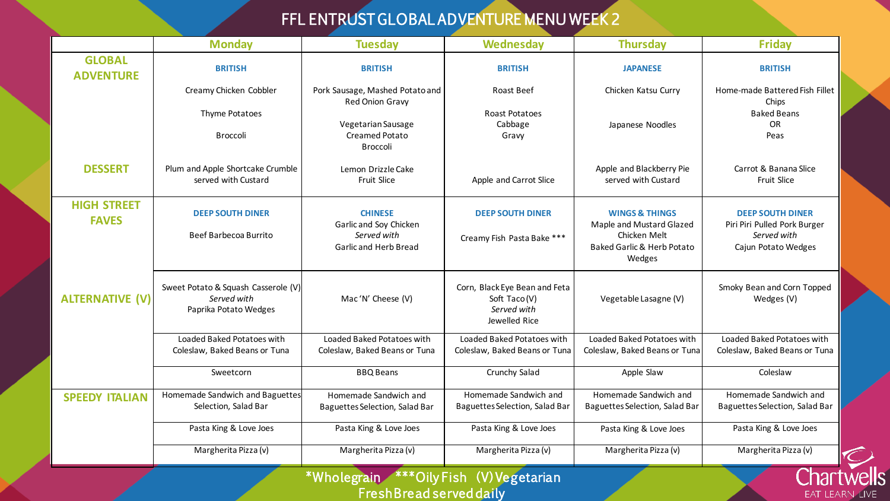## FFL ENTRUST GLOBAL ADVENTURE MENU WEEK 2

|                                                                                                              | <b>Monday</b>                                                               | <b>Tuesday</b>                                                                   | Wednesday                                                                     | <b>Thursday</b>                                                                                                          | <b>Friday</b>                                                                                 |  |
|--------------------------------------------------------------------------------------------------------------|-----------------------------------------------------------------------------|----------------------------------------------------------------------------------|-------------------------------------------------------------------------------|--------------------------------------------------------------------------------------------------------------------------|-----------------------------------------------------------------------------------------------|--|
| <b>GLOBAL</b><br><b>ADVENTURE</b>                                                                            | <b>BRITISH</b>                                                              | <b>BRITISH</b>                                                                   | <b>BRITISH</b>                                                                | <b>JAPANESE</b>                                                                                                          | <b>BRITISH</b>                                                                                |  |
|                                                                                                              | Creamy Chicken Cobbler                                                      | Pork Sausage, Mashed Potato and<br>Red Onion Gravy                               | Roast Beef                                                                    | Chicken Katsu Curry                                                                                                      | Home-made Battered Fish Fillet<br>Chips                                                       |  |
|                                                                                                              | Thyme Potatoes<br><b>Broccoli</b>                                           | Vegetarian Sausage<br>Creamed Potato<br>Broccoli                                 | Roast Potatoes<br>Cabbage<br>Gravy                                            | Japanese Noodles                                                                                                         | <b>Baked Beans</b><br><b>OR</b><br>Peas                                                       |  |
| <b>DESSERT</b>                                                                                               | Plum and Apple Shortcake Crumble<br>served with Custard                     | Lemon Drizzle Cake<br>Fruit Slice                                                | Apple and Carrot Slice                                                        | Apple and Blackberry Pie<br>served with Custard                                                                          | Carrot & Banana Slice<br>Fruit Slice                                                          |  |
| <b>HIGH STREET</b><br><b>FAVES</b>                                                                           | <b>DEEP SOUTH DINER</b><br>Beef Barbecoa Burrito                            | <b>CHINESE</b><br>Garlic and Soy Chicken<br>Served with<br>Garlic and Herb Bread | <b>DEEP SOUTH DINER</b><br>Creamy Fish Pasta Bake ***                         | <b>WINGS &amp; THINGS</b><br>Maple and Mustard Glazed<br>Chicken Melt<br><b>Baked Garlic &amp; Herb Potato</b><br>Wedges | <b>DEEP SOUTH DINER</b><br>Piri Piri Pulled Pork Burger<br>Served with<br>Cajun Potato Wedges |  |
| <b>ALTERNATIVE (V)</b>                                                                                       | Sweet Potato & Squash Casserole (V)<br>Served with<br>Paprika Potato Wedges | Mac'N' Cheese (V)                                                                | Corn, Black Eye Bean and Feta<br>Soft Taco(V)<br>Served with<br>Jewelled Rice | Vegetable Lasagne (V)                                                                                                    | Smoky Bean and Corn Topped<br>Wedges (V)                                                      |  |
|                                                                                                              | Loaded Baked Potatoes with<br>Coleslaw, Baked Beans or Tuna                 | Loaded Baked Potatoes with<br>Coleslaw, Baked Beans or Tuna                      | Loaded Baked Potatoes with<br>Coleslaw, Baked Beans or Tuna                   | Loaded Baked Potatoes with<br>Coleslaw, Baked Beans or Tuna                                                              | Loaded Baked Potatoes with<br>Coleslaw, Baked Beans or Tuna                                   |  |
|                                                                                                              | Sweetcorn                                                                   | <b>BBQ Beans</b>                                                                 | Crunchy Salad                                                                 | Apple Slaw                                                                                                               | Coleslaw                                                                                      |  |
| <b>SPEEDY ITALIAN</b>                                                                                        | Homemade Sandwich and Baguettes<br>Selection, Salad Bar                     | Homemade Sandwich and<br>Baguettes Selection, Salad Bar                          | Homemade Sandwich and<br>Baguettes Selection, Salad Bar                       | Homemade Sandwich and<br>Baguettes Selection, Salad Bar                                                                  | Homemade Sandwich and<br>Baguettes Selection, Salad Bar                                       |  |
|                                                                                                              | Pasta King & Love Joes                                                      | Pasta King & Love Joes                                                           | Pasta King & Love Joes                                                        | Pasta King & Love Joes                                                                                                   | Pasta King & Love Joes                                                                        |  |
|                                                                                                              | Margherita Pizza (v)                                                        | Margherita Pizza (v)                                                             | Margherita Pizza (v)                                                          | Margherita Pizza (v)                                                                                                     | Margherita Pizza (v)                                                                          |  |
| <b>*Wholegrain</b><br><b>***OilyFish (V)Vegetarian</b><br><b>FreshBread served daily</b><br><b>EAT LEARN</b> |                                                                             |                                                                                  |                                                                               |                                                                                                                          |                                                                                               |  |

**LIVE**